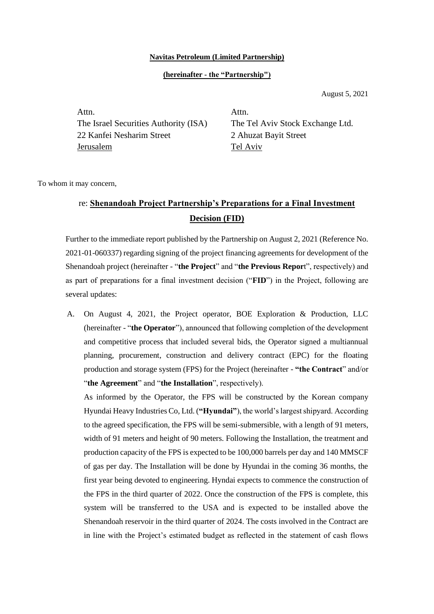## **Navitas Petroleum (Limited Partnership)**

## **(hereinafter - the "Partnership")**

August 5, 2021

Attn. The Israel Securities Authority (ISA) 22 Kanfei Nesharim Street Jerusalem

Attn. The Tel Aviv Stock Exchange Ltd. 2 Ahuzat Bayit Street Tel Aviv

To whom it may concern,

## re: **Shenandoah Project Partnership's Preparations for a Final Investment Decision (FID)**

Further to the immediate report published by the Partnership on August 2, 2021 (Reference No. 2021-01-060337) regarding signing of the project financing agreements for development of the Shenandoah project (hereinafter - "**the Project**" and "**the Previous Repor**t", respectively) and as part of preparations for a final investment decision ("**FID**") in the Project, following are several updates:

A. On August 4, 2021, the Project operator, BOE Exploration & Production, LLC (hereinafter - "**the Operator**"), announced that following completion of the development and competitive process that included several bids, the Operator signed a multiannual planning, procurement, construction and delivery contract (EPC) for the floating production and storage system (FPS) for the Project (hereinafter - **"the Contract**" and/or "**the Agreement**" and "**the Installation**", respectively).

As informed by the Operator, the FPS will be constructed by the Korean company Hyundai Heavy Industries Co, Ltd. (**"Hyundai"**), the world's largest shipyard. According to the agreed specification, the FPS will be semi-submersible, with a length of 91 meters, width of 91 meters and height of 90 meters. Following the Installation, the treatment and production capacity of the FPS is expected to be 100,000 barrels per day and 140 MMSCF of gas per day. The Installation will be done by Hyundai in the coming 36 months, the first year being devoted to engineering. Hyndai expects to commence the construction of the FPS in the third quarter of 2022. Once the construction of the FPS is complete, this system will be transferred to the USA and is expected to be installed above the Shenandoah reservoir in the third quarter of 2024. The costs involved in the Contract are in line with the Project's estimated budget as reflected in the statement of cash flows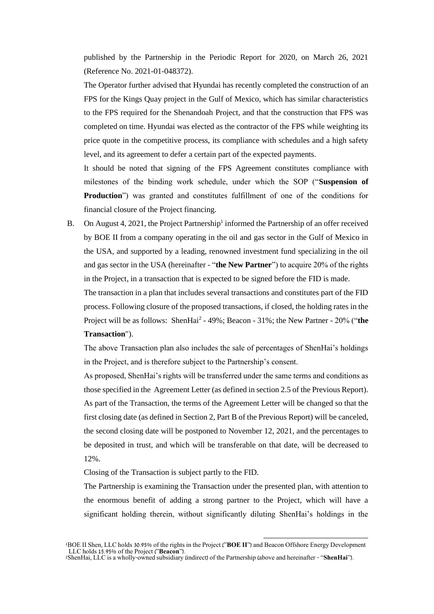published by the Partnership in the Periodic Report for 2020, on March 26, 2021 (Reference No. 2021-01-048372).

The Operator further advised that Hyundai has recently completed the construction of an FPS for the Kings Quay project in the Gulf of Mexico, which has similar characteristics to the FPS required for the Shenandoah Project, and that the construction that FPS was completed on time. Hyundai was elected as the contractor of the FPS while weighting its price quote in the competitive process, its compliance with schedules and a high safety level, and its agreement to defer a certain part of the expected payments.

It should be noted that signing of the FPS Agreement constitutes compliance with milestones of the binding work schedule, under which the SOP ("**Suspension of Production**") was granted and constitutes fulfillment of one of the conditions for financial closure of the Project financing.

B. On August 4, 2021, the Project Partnership<sup>1</sup> informed the Partnership of an offer received by BOE II from a company operating in the oil and gas sector in the Gulf of Mexico in the USA, and supported by a leading, renowned investment fund specializing in the oil and gas sector in the USA (hereinafter - "**the New Partner**") to acquire 20% of the rights in the Project, in a transaction that is expected to be signed before the FID is made.

The transaction in a plan that includes several transactions and constitutes part of the FID process. Following closure of the proposed transactions, if closed, the holding rates in the Project will be as follows: ShenHai<sup>2</sup> - 49%; Beacon - 31%; the New Partner - 20% ("the **Transaction**").

The above Transaction plan also includes the sale of percentages of ShenHai's holdings in the Project, and is therefore subject to the Partnership's consent.

As proposed, ShenHai's rights will be transferred under the same terms and conditions as those specified in the Agreement Letter (as defined in section 2.5 of the Previous Report). As part of the Transaction, the terms of the Agreement Letter will be changed so that the first closing date (as defined in Section 2, Part B of the Previous Report) will be canceled, the second closing date will be postponed to November 12, 2021, and the percentages to be deposited in trust, and which will be transferable on that date, will be decreased to 12%.

Closing of the Transaction is subject partly to the FID.

The Partnership is examining the Transaction under the presented plan, with attention to the enormous benefit of adding a strong partner to the Project, which will have a significant holding therein, without significantly diluting ShenHai's holdings in the

<sup>1</sup>BOE II Shen, LLC holds 30.95% of the rights in the Project ("**BOE II**") and Beacon Offshore Energy Development LLC holds 15.95% of the Project ("**Beacon**"). <sup>2</sup>ShenHai, LLC is a wholly-owned subsidiary (indirect) of the Partnership (above and hereinafter - "**ShenHai**").